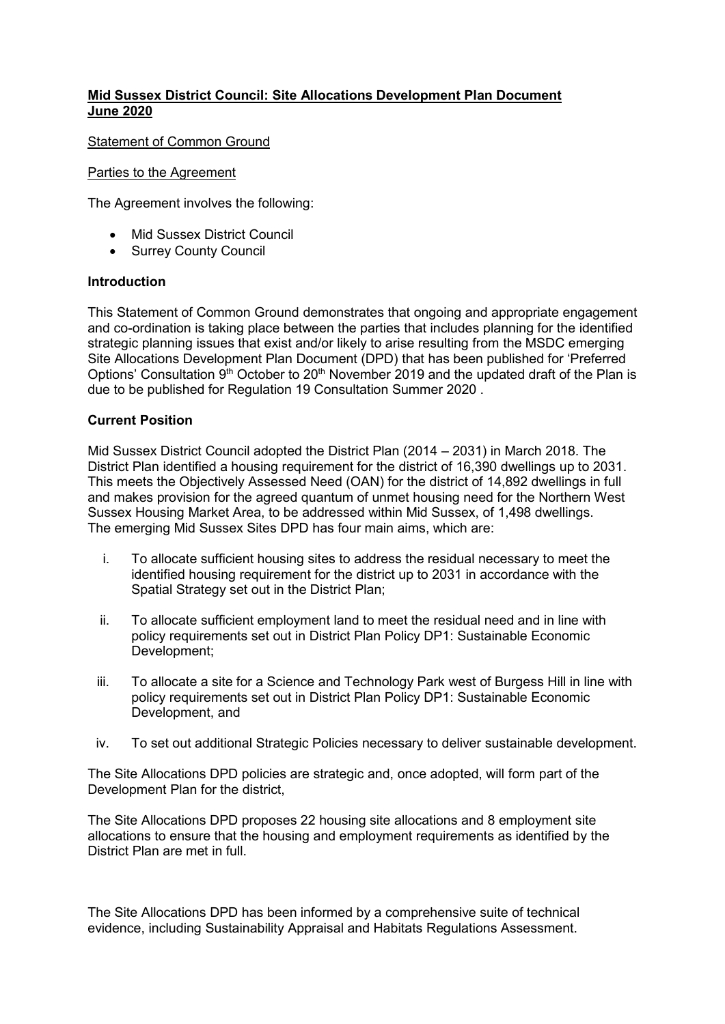## **Mid Sussex District Council: Site Allocations Development Plan Document June 2020**

Statement of Common Ground

#### Parties to the Agreement

The Agreement involves the following:

- Mid Sussex District Council
- Surrey County Council

#### **Introduction**

This Statement of Common Ground demonstrates that ongoing and appropriate engagement and co-ordination is taking place between the parties that includes planning for the identified strategic planning issues that exist and/or likely to arise resulting from the MSDC emerging Site Allocations Development Plan Document (DPD) that has been published for 'Preferred Options' Consultation 9<sup>th</sup> October to 20<sup>th</sup> November 2019 and the updated draft of the Plan is due to be published for Regulation 19 Consultation Summer 2020 .

## **Current Position**

Mid Sussex District Council adopted the District Plan (2014 – 2031) in March 2018. The District Plan identified a housing requirement for the district of 16,390 dwellings up to 2031. This meets the Objectively Assessed Need (OAN) for the district of 14,892 dwellings in full and makes provision for the agreed quantum of unmet housing need for the Northern West Sussex Housing Market Area, to be addressed within Mid Sussex, of 1,498 dwellings. The emerging Mid Sussex Sites DPD has four main aims, which are:

- i. To allocate sufficient housing sites to address the residual necessary to meet the identified housing requirement for the district up to 2031 in accordance with the Spatial Strategy set out in the District Plan;
- ii. To allocate sufficient employment land to meet the residual need and in line with policy requirements set out in District Plan Policy DP1: Sustainable Economic Development;
- iii. To allocate a site for a Science and Technology Park west of Burgess Hill in line with policy requirements set out in District Plan Policy DP1: Sustainable Economic Development, and
- iv. To set out additional Strategic Policies necessary to deliver sustainable development.

The Site Allocations DPD policies are strategic and, once adopted, will form part of the Development Plan for the district,

The Site Allocations DPD proposes 22 housing site allocations and 8 employment site allocations to ensure that the housing and employment requirements as identified by the District Plan are met in full.

The Site Allocations DPD has been informed by a comprehensive suite of technical evidence, including Sustainability Appraisal and Habitats Regulations Assessment.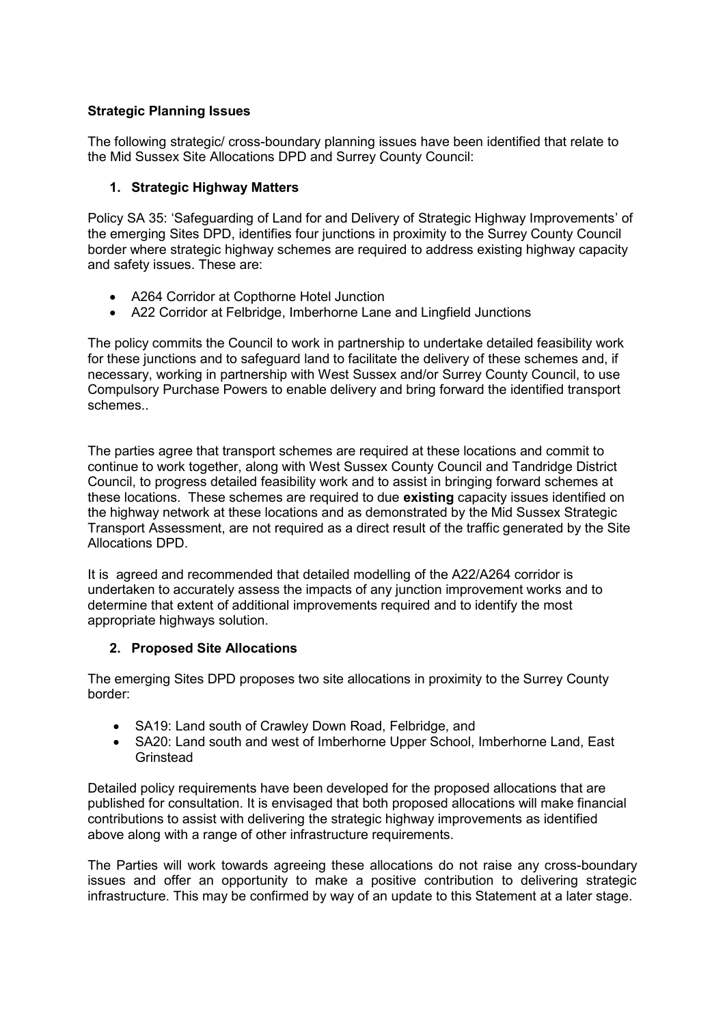# **Strategic Planning Issues**

The following strategic/ cross-boundary planning issues have been identified that relate to the Mid Sussex Site Allocations DPD and Surrey County Council:

## **1. Strategic Highway Matters**

Policy SA 35: 'Safeguarding of Land for and Delivery of Strategic Highway Improvements' of the emerging Sites DPD, identifies four junctions in proximity to the Surrey County Council border where strategic highway schemes are required to address existing highway capacity and safety issues. These are:

- A264 Corridor at Copthorne Hotel Junction
- A22 Corridor at Felbridge, Imberhorne Lane and Lingfield Junctions

The policy commits the Council to work in partnership to undertake detailed feasibility work for these junctions and to safeguard land to facilitate the delivery of these schemes and, if necessary, working in partnership with West Sussex and/or Surrey County Council, to use Compulsory Purchase Powers to enable delivery and bring forward the identified transport schemes..

The parties agree that transport schemes are required at these locations and commit to continue to work together, along with West Sussex County Council and Tandridge District Council, to progress detailed feasibility work and to assist in bringing forward schemes at these locations. These schemes are required to due **existing** capacity issues identified on the highway network at these locations and as demonstrated by the Mid Sussex Strategic Transport Assessment, are not required as a direct result of the traffic generated by the Site Allocations DPD.

It is agreed and recommended that detailed modelling of the A22/A264 corridor is undertaken to accurately assess the impacts of any junction improvement works and to determine that extent of additional improvements required and to identify the most appropriate highways solution.

## **2. Proposed Site Allocations**

The emerging Sites DPD proposes two site allocations in proximity to the Surrey County border:

- SA19: Land south of Crawley Down Road, Felbridge, and
- SA20: Land south and west of Imberhorne Upper School, Imberhorne Land, East **Grinstead**

Detailed policy requirements have been developed for the proposed allocations that are published for consultation. It is envisaged that both proposed allocations will make financial contributions to assist with delivering the strategic highway improvements as identified above along with a range of other infrastructure requirements.

The Parties will work towards agreeing these allocations do not raise any cross-boundary issues and offer an opportunity to make a positive contribution to delivering strategic infrastructure. This may be confirmed by way of an update to this Statement at a later stage.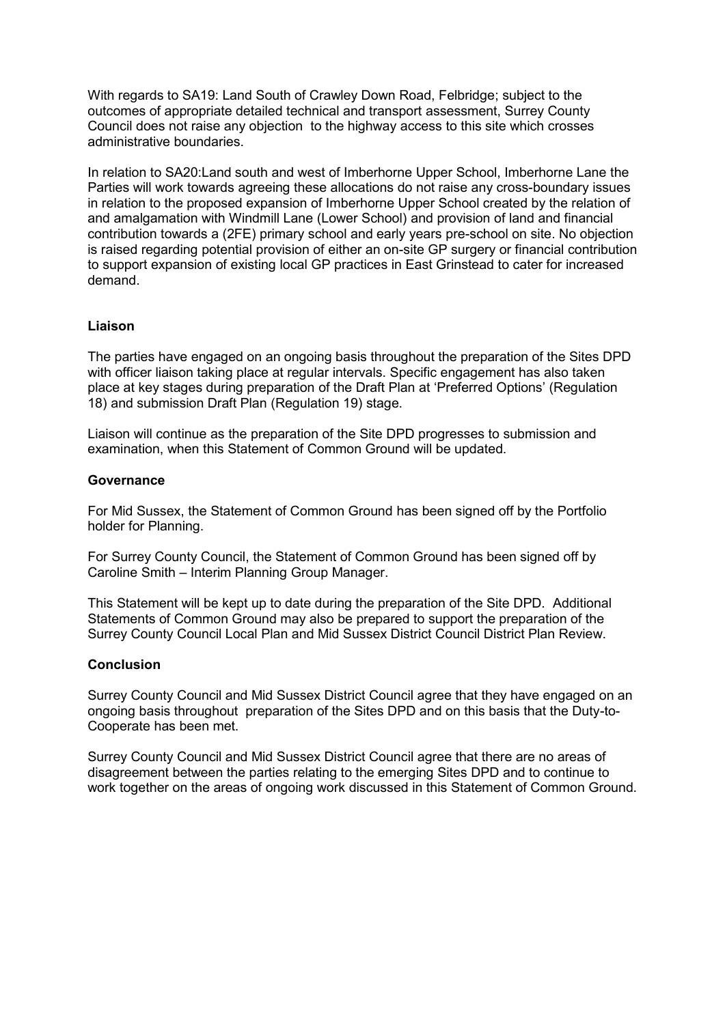With regards to SA19: Land South of Crawley Down Road, Felbridge; subject to the outcomes of appropriate detailed technical and transport assessment, Surrey County Council does not raise any objection to the highway access to this site which crosses administrative boundaries.

In relation to SA20:Land south and west of Imberhorne Upper School, Imberhorne Lane the Parties will work towards agreeing these allocations do not raise any cross-boundary issues in relation to the proposed expansion of Imberhorne Upper School created by the relation of and amalgamation with Windmill Lane (Lower School) and provision of land and financial contribution towards a (2FE) primary school and early years pre-school on site. No objection is raised regarding potential provision of either an on-site GP surgery or financial contribution to support expansion of existing local GP practices in East Grinstead to cater for increased demand.

## **Liaison**

The parties have engaged on an ongoing basis throughout the preparation of the Sites DPD with officer liaison taking place at regular intervals. Specific engagement has also taken place at key stages during preparation of the Draft Plan at 'Preferred Options' (Regulation 18) and submission Draft Plan (Regulation 19) stage.

Liaison will continue as the preparation of the Site DPD progresses to submission and examination, when this Statement of Common Ground will be updated.

#### **Governance**

For Mid Sussex, the Statement of Common Ground has been signed off by the Portfolio holder for Planning.

For Surrey County Council, the Statement of Common Ground has been signed off by Caroline Smith – Interim Planning Group Manager.

This Statement will be kept up to date during the preparation of the Site DPD. Additional Statements of Common Ground may also be prepared to support the preparation of the Surrey County Council Local Plan and Mid Sussex District Council District Plan Review.

#### **Conclusion**

Surrey County Council and Mid Sussex District Council agree that they have engaged on an ongoing basis throughout preparation of the Sites DPD and on this basis that the Duty-to-Cooperate has been met.

Surrey County Council and Mid Sussex District Council agree that there are no areas of disagreement between the parties relating to the emerging Sites DPD and to continue to work together on the areas of ongoing work discussed in this Statement of Common Ground.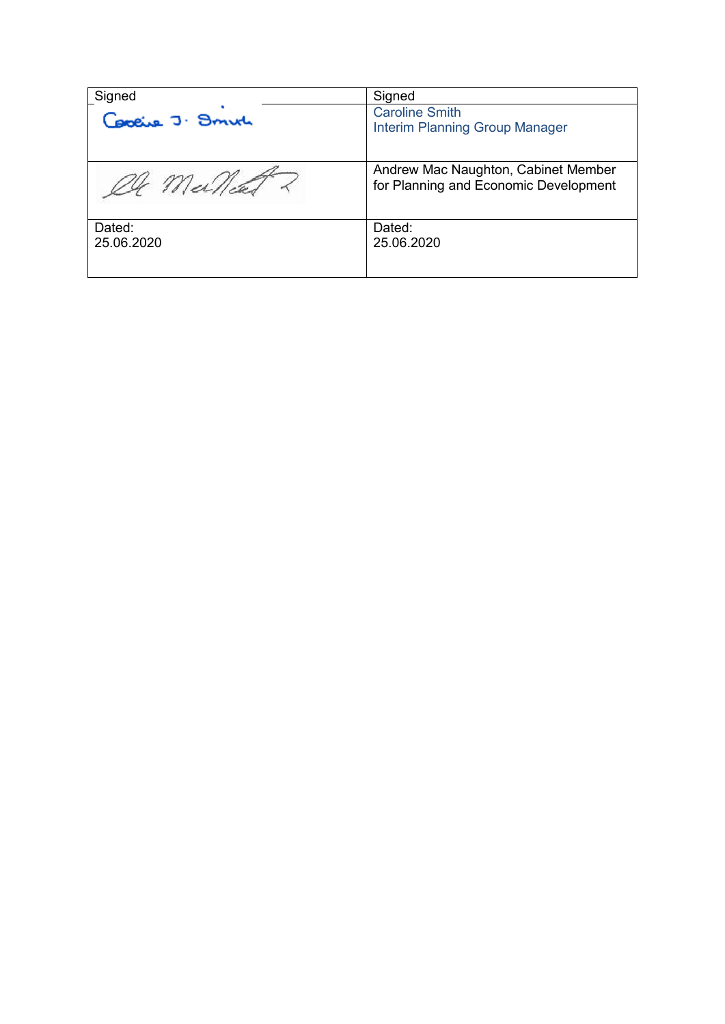| Signed               | Signed                                                                       |
|----------------------|------------------------------------------------------------------------------|
| Capeire J. Smith     | <b>Caroline Smith</b><br><b>Interim Planning Group Manager</b>               |
| OG Meillead          | Andrew Mac Naughton, Cabinet Member<br>for Planning and Economic Development |
| Dated:<br>25.06.2020 | Dated:<br>25.06.2020                                                         |